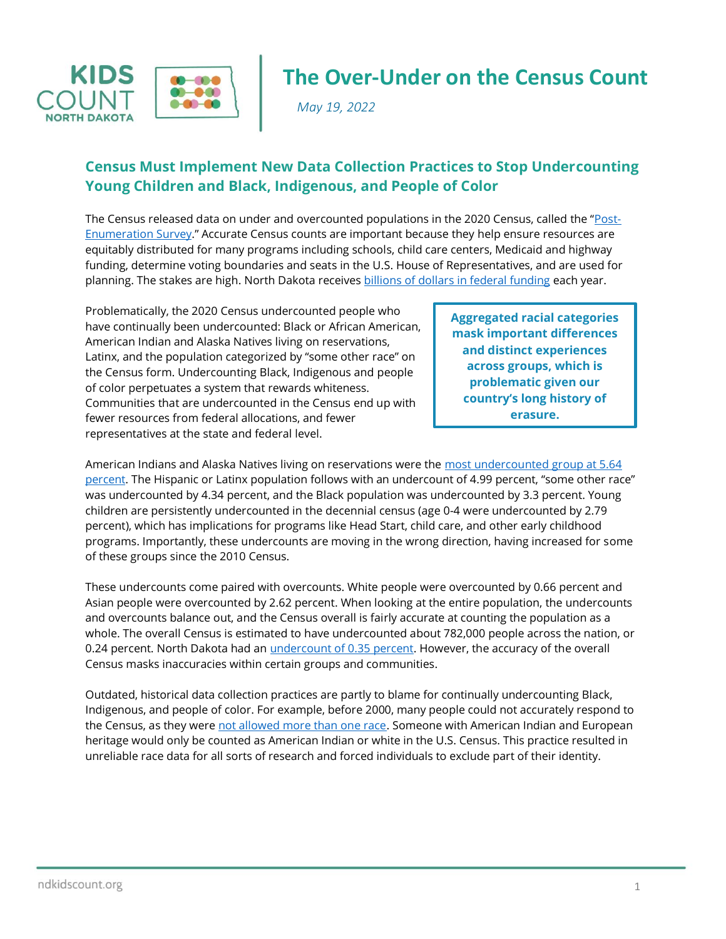

## **The Over-Under on the Census Count**

*May 19, 2022*

## **Census Must Implement New Data Collection Practices to Stop Undercounting Young Children and Black, Indigenous, and People of Color**

The Census released data on under and overcounted populations in the 2020 Census, called the "[Post-](https://www.census.gov/newsroom/press-releases/2022/2020-census-estimates-of-undercount-and-overcount.html)[Enumeration Survey](https://www.census.gov/newsroom/press-releases/2022/2020-census-estimates-of-undercount-and-overcount.html)." Accurate Census counts are important because they help ensure resources are equitably distributed for many programs including schools, child care centers, Medicaid and highway funding, determine voting boundaries and seats in the U.S. House of Representatives, and are used for planning. The stakes are high. North Dakota receives billions of dollars [in federal funding](https://gwipp.gwu.edu/sites/g/files/zaxdzs2181/f/downloads/Counting%20for%20Dollars%202020%20-%20Comprehensive%20Accounting_Report%207B%20Feb%202020%20rev.pdf) each year.

Problematically, the 2020 Census undercounted people who have continually been undercounted: Black or African American, American Indian and Alaska Natives living on reservations, Latinx, and the population categorized by "some other race" on the Census form. Undercounting Black, Indigenous and people of color perpetuates a system that rewards whiteness. Communities that are undercounted in the Census end up with fewer resources from federal allocations, and fewer representatives at the state and federal level.

**Aggregated racial categories mask important differences and distinct experiences across groups, which is problematic given our country's long history of erasure.**

American Indians and Alaska Natives living on reservations were the [most undercounted group at 5.64](https://www2.census.gov/programs-surveys/decennial/coverage-measurement/pes/national-census-coverage-estimates-by-demographic-characteristics.pdf)  [percent](https://www2.census.gov/programs-surveys/decennial/coverage-measurement/pes/national-census-coverage-estimates-by-demographic-characteristics.pdf). The Hispanic or Latinx population follows with an undercount of 4.99 percent, "some other race" was undercounted by 4.34 percent, and the Black population was undercounted by 3.3 percent. Young children are persistently undercounted in the decennial census (age 0-4 were undercounted by 2.79 percent), which has implications for programs like Head Start, child care, and other early childhood programs. Importantly, these undercounts are moving in the wrong direction, having increased for some of these groups since the 2010 Census.

These undercounts come paired with overcounts. White people were overcounted by 0.66 percent and Asian people were overcounted by 2.62 percent. When looking at the entire population, the undercounts and overcounts balance out, and the Census overall is fairly accurate at counting the population as a whole. The overall Census is estimated to have undercounted about 782,000 people across the nation, or 0.24 percent. North Dakota had an *undercount of 0.35 percent*. However, the accuracy of the overall Census masks inaccuracies within certain groups and communities.

Outdated, historical data collection practices are partly to blame for continually undercounting Black, Indigenous, and people of color. For example, before 2000, many people could not accurately respond to the Census, as they were [not allowed more than one race.](https://www.pewresearch.org/wp-content/uploads/2020/02/PH_15.06.11_MultiRacial-Timeline.pdf) Someone with American Indian and European heritage would only be counted as American Indian or white in the U.S. Census. This practice resulted in unreliable race data for all sorts of research and forced individuals to exclude part of their identity.